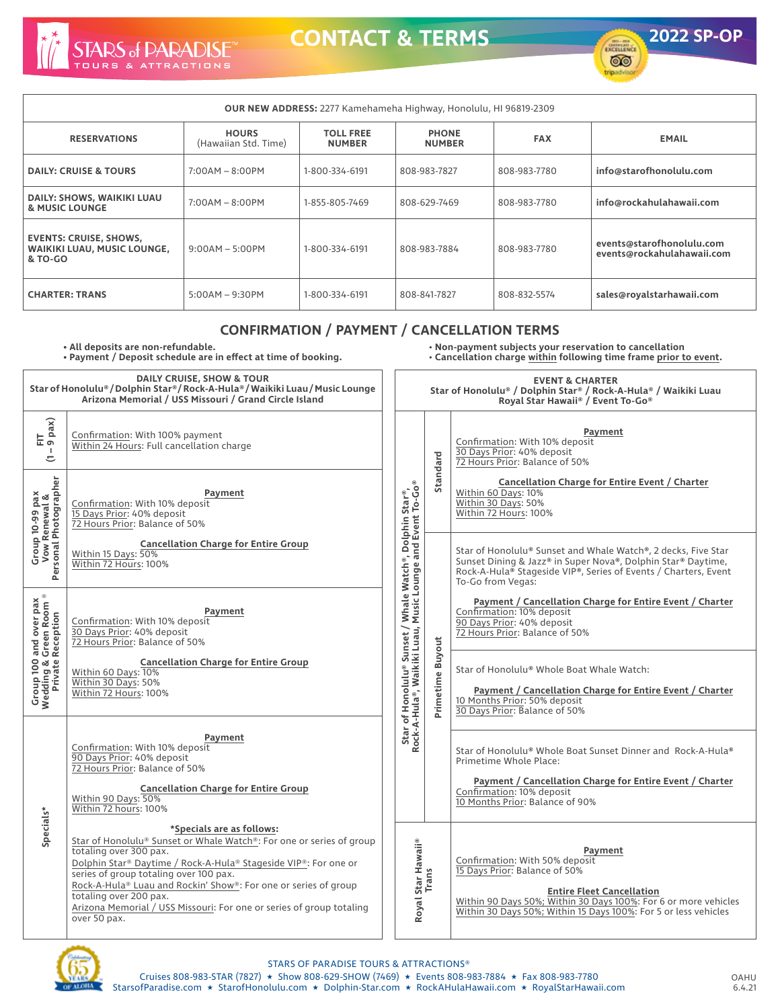

**CONTACT & TERMS 2022 SP-OP**



| <b>OUR NEW ADDRESS:</b> 2277 Kamehameha Highway, Honolulu, HI 96819-2309       |                                      |                                   |                               |              |                                                         |  |  |  |  |
|--------------------------------------------------------------------------------|--------------------------------------|-----------------------------------|-------------------------------|--------------|---------------------------------------------------------|--|--|--|--|
| <b>RESERVATIONS</b>                                                            | <b>HOURS</b><br>(Hawaiian Std. Time) | <b>TOLL FREE</b><br><b>NUMBER</b> | <b>PHONE</b><br><b>NUMBER</b> | <b>FAX</b>   | <b>EMAIL</b>                                            |  |  |  |  |
| <b>DAILY: CRUISE &amp; TOURS</b>                                               | $7:00AM - 8:00PM$                    | 1-800-334-6191                    | 808-983-7827                  | 808-983-7780 | info@starofhonolulu.com                                 |  |  |  |  |
| DAILY: SHOWS, WAIKIKI LUAU<br>& MUSIC LOUNGE                                   | $7:00AM - 8:00PM$                    | 1-855-805-7469                    | 808-629-7469                  | 808-983-7780 | info@rockahulahawaii.com                                |  |  |  |  |
| <b>EVENTS: CRUISE, SHOWS,</b><br><b>WAIKIKI LUAU, MUSIC LOUNGE,</b><br>& TO-GO | $9:00AM - 5:00PM$                    | 1-800-334-6191                    | 808-983-7884                  | 808-983-7780 | events@starofhonolulu.com<br>events@rockahulahawaii.com |  |  |  |  |
| <b>CHARTER: TRANS</b>                                                          | $5:00AM - 9:30PM$                    | 1-800-334-6191                    | 808-841-7827                  | 808-832-5574 | sales@royalstarhawaii.com                               |  |  |  |  |

## **CONFIRMATION / PAYMENT / CANCELLATION TERMS**

**• All deposits are non-refundable.**

**• Payment / Deposit schedule are in effect at time of booking.**

• **Non-payment subjects your reservation to cancellation**  • **Cancellation charge within following time frame prior to event.** 

| <b>DAILY CRUISE, SHOW &amp; TOUR</b><br>Star of Honolulu® / Dolphin Star® / Rock-A-Hula® / Waikiki Luau / Music Lounge<br>Arizona Memorial / USS Missouri / Grand Circle Island |                                                                                                                                                                                                                                                                                                                                                                                                                               |                                                                                                                      | <b>EVENT &amp; CHARTER</b><br>Star of Honolulu® / Dolphin Star® / Rock-A-Hula® / Waikiki Luau<br>Royal Star Hawaii® / Event To-Go® |                                                                                                                                                                                                                                                      |  |  |
|---------------------------------------------------------------------------------------------------------------------------------------------------------------------------------|-------------------------------------------------------------------------------------------------------------------------------------------------------------------------------------------------------------------------------------------------------------------------------------------------------------------------------------------------------------------------------------------------------------------------------|----------------------------------------------------------------------------------------------------------------------|------------------------------------------------------------------------------------------------------------------------------------|------------------------------------------------------------------------------------------------------------------------------------------------------------------------------------------------------------------------------------------------------|--|--|
| $FIT$<br>9 pax)<br>п.<br>≂                                                                                                                                                      | Confirmation: With 100% payment<br>Within 24 Hours: Full cancellation charge<br>Payment<br>Confirmation: With 10% deposit<br>15 Days Prior: 40% deposit<br>72 Hours Prior: Balance of 50%                                                                                                                                                                                                                                     |                                                                                                                      |                                                                                                                                    | Payment<br>Confirmation: With 10% deposit<br>30 Days Prior: 40% deposit<br>72 Hours Prior: Balance of 50%                                                                                                                                            |  |  |
| Group 10-99 pax<br>Vow Renewal &<br>Personal Photographer                                                                                                                       |                                                                                                                                                                                                                                                                                                                                                                                                                               |                                                                                                                      | Standard                                                                                                                           | Cancellation Charge for Entire Event / Charter<br>Within 60 Days: 10%<br>Within 30 Days: 50%<br>Within 72 Hours: 100%                                                                                                                                |  |  |
|                                                                                                                                                                                 | <b>Cancellation Charge for Entire Group</b><br>Within 15 Days: 50%<br>Within 72 Hours: 100%                                                                                                                                                                                                                                                                                                                                   | Star of Honolulu® Sunset / Whale Watch®, Dolphin Star®,<br>Rock-A-Hula®, Waikiki Luau, Music Lounge and Event To-Go® |                                                                                                                                    | Star of Honolulu® Sunset and Whale Watch®, 2 decks, Five Star<br>Sunset Dining & Jazz® in Super Nova®, Dolphin Star® Daytime,<br>Rock-A-Hula® Stageside VIP®, Series of Events / Charters, Event<br>To-Go from Vegas:                                |  |  |
| <b>Group 100 and over pax<br/>Wedding &amp; Green Room ®<br/>Private Reception</b>                                                                                              | Payment<br>Confirmation: With 10% deposit<br>30 Days Prior: 40% deposit<br>72 Hours Prior: Balance of 50%<br><b>Cancellation Charge for Entire Group</b><br>Within 60 Days: 10%<br>Within 30 Days: 50%<br>Within 72 Hours: 100%                                                                                                                                                                                               |                                                                                                                      |                                                                                                                                    | Payment / Cancellation Charge for Entire Event / Charter<br>Confirmation: 10% deposit<br>90 Days Prior: 40% deposit<br>72 Hours Prior: Balance of 50%                                                                                                |  |  |
|                                                                                                                                                                                 |                                                                                                                                                                                                                                                                                                                                                                                                                               |                                                                                                                      | Primetime Buyout                                                                                                                   | Star of Honolulu® Whole Boat Whale Watch:<br>Payment / Cancellation Charge for Entire Event / Charter<br>10 Months Prior: 50% deposit<br>30 Days Prior: Balance of 50%                                                                               |  |  |
|                                                                                                                                                                                 | Payment<br>Confirmation: With 10% deposit<br>90 Days Prior: 40% deposit<br>72 Hours Prior: Balance of 50%<br><b>Cancellation Charge for Entire Group</b><br>Within 90 Days: 50%<br>Within 72 hours: 100%                                                                                                                                                                                                                      |                                                                                                                      |                                                                                                                                    | Star of Honolulu® Whole Boat Sunset Dinner and Rock-A-Hula®<br>Primetime Whole Place:<br>Payment / Cancellation Charge for Entire Event / Charter<br>Confirmation: 10% deposit<br>10 Months Prior: Balance of 90%                                    |  |  |
| Specials*                                                                                                                                                                       | *Specials are as follows:<br>Star of Honolulu® Sunset or Whale Watch®: For one or series of group<br>totaling over 300 pax.<br>Dolphin Star® Daytime / Rock-A-Hula® Stageside VIP®: For one or<br>series of group totaling over 100 pax.<br>Rock-A-Hula® Luau and Rockin' Show®: For one or series of group<br>totaling over 200 pax.<br>Arizona Memorial / USS Missouri: For one or series of group totaling<br>over 50 pax. |                                                                                                                      | Royal Star Hawaii®<br>Trans                                                                                                        | Payment<br>Confirmation: With 50% deposit<br>15 Days Prior: Balance of 50%<br><b>Entire Fleet Cancellation</b><br>Within 90 Days 50%; Within 30 Days 100%: For 6 or more vehicles<br>Within 30 Days 50%; Within 15 Days 100%: For 5 or less vehicles |  |  |